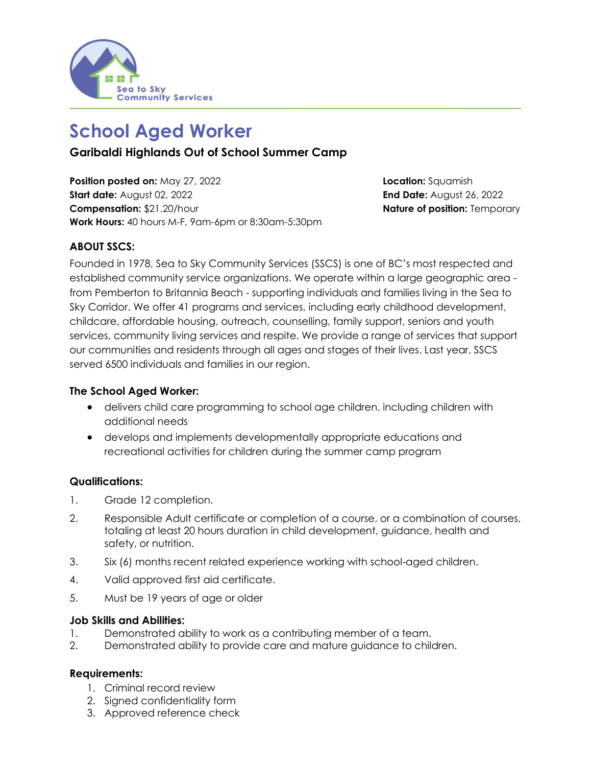

# **School Aged Worker**

**Garibaldi Highlands Out of School Summer Camp**

**Position posted on:** May 27, 2022 **Location:** Squamish **Start date:** August 02, 2022 **End Date:** August 26, 2022 **Compensation:** \$21.20/hour **Nature of position:** Temporary **Work Hours:** 40 hours M-F, 9am-6pm or 8:30am-5:30pm

## **ABOUT SSCS:**

Founded in 1978, Sea to Sky Community Services (SSCS) is one of BC's most respected and established community service organizations. We operate within a large geographic area from Pemberton to Britannia Beach - supporting individuals and families living in the Sea to Sky Corridor. We offer 41 programs and services, including early childhood development, childcare, affordable housing, outreach, counselling, family support, seniors and youth services, community living services and respite. We provide a range of services that support our communities and residents through all ages and stages of their lives. Last year, SSCS served 6500 individuals and families in our region.

### **The School Aged Worker:**

- delivers child care programming to school age children, including children with additional needs
- develops and implements developmentally appropriate educations and recreational activities for children during the summer camp program

### **Qualifications:**

- 1. Grade 12 completion.
- 2. Responsible Adult certificate or completion of a course, or a combination of courses, totaling at least 20 hours duration in child development, guidance, health and safety, or nutrition.
- 3. Six (6) months recent related experience working with school-aged children.
- 4. Valid approved first aid certificate.
- 5. Must be 19 years of age or older

#### **Job Skills and Abilities:**

- 1. Demonstrated ability to work as a contributing member of a team.
- 2. Demonstrated ability to provide care and mature guidance to children.

### **Requirements:**

- 1. Criminal record review
- 2. Signed confidentiality form
- 3. Approved reference check